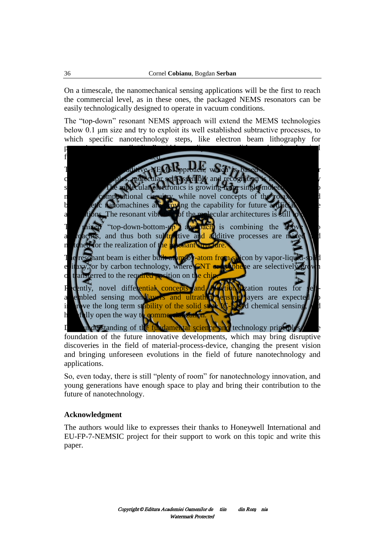On a timescale, the nanomechanical sensing applications will be the first to reach the commercial level, as in these ones, the packaged NEMS resonators can be easily technologically designed to operate in vacuum conditions.

The "top-down" resonant NEMS approach will extend the MEMS technologies below 0.1 μm size and try to exploit its well established subtractive processes, to which specific nanotechnology steps, like electron beam lithography for patterning ultra-small "line" width, or dip pen nanolithography for chemical functionalization will be added.

The "bottom-up" additive NEMS approach, which is based on supramolecular chemistry principles, molecular self-assembly and recognition is in the very early stage, today. The molecular electronics is growing from single-molecule device to molecular computational circuitry, while novel concepts of the rotaxane-based bio-mimetic nanomachines are proving the capability for future artificial muscle applications. The resonant vibration of the molecular architectures is still to come.

The mixed "top-down-bottom-up" approach is combining the above two approaches, and thus both subtractive and additive processes are mixed and matched for the realization of the resonant structure.

The resonant beam is either built atom-by-atom from silicon by vapor-liquid-solid epitaxy, or by carbon technology, where CNT or graphene are selectively grown or transferred to the required position on the chip.

Recently, novel differential concepts and functionalization routes for selfassembled sensing monolayers and ultrathin sensing layers are expected to improve the long term stability of the solid state IC-based chemical sensing, and hopefully open the way to commercialization.

Deep understanding of the fundamental science and technology principles is the foundation of the future innovative developments, which may bring disruptive discoveries in the field of material-process-device, changing the present vision and bringing unforeseen evolutions in the field of future nanotechnology and applications.

So, even today, there is still "plenty of room" for nanotechnology innovation, and young generations have enough space to play and bring their contribution to the future of nanotechnology.

## **Acknowledgment**

The authors would like to expresses their thanks to Honeywell International and EU-FP-7-NEMSIC project for their support to work on this topic and write this paper.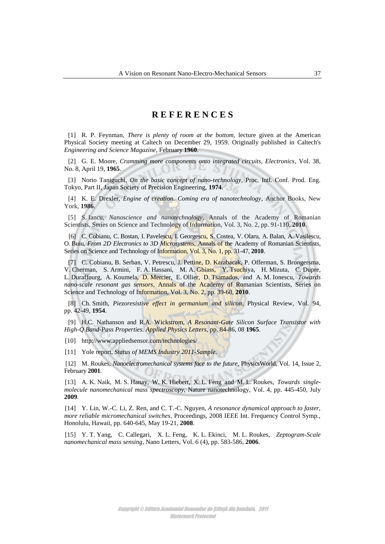## **R E F E R E N C E S**

[1] R. P. Feynman, *There is plenty of room at the bottom,* lecture given at the American Physical Society meeting at Caltech on December 29, 1959. Originally published in Caltech's *Engineering and Science Magazine,* February **1960***.*

[2] G. E. Moore, *Cramming more components onto integrated circuits, Electronics*, Vol. 38, No. 8, April 19, **1965**.

[3] Norio Taniguchi, *On the basic concept of nano-technology*, Proc. Intl. Conf. Prod. Eng. Tokyo, Part II, Japan Society of Precision Engineering, **1974**.

[4] K. E. Drexler, *Engine of creation. Coming era of nanotechnology*, Anchor Books, New York, **1986**.

[5] S. Iancu, *Nanoscience and nanotechnology*, Annals of the Academy of Romanian Scientists, Series on Science and Technology of Information, Vol. 3, No. 2, pp. 91-110, **2010**.

[6] C. Cobianu, C. Bostan, I. Pavelescu, I. Georgescu, S. Costea, V. Olaru, A. Balan, A. Vasilescu, O. Buiu, *From 2D Electronics to 3D Microsystems*, Annals of the Academy of Romanian Scientists, Series on Science and Technology of Information, Vol. 3, No. 1, pp. 31-47, **2010**.

[7] C. Cobianu, B. Serban, V. Petrescu, J. Pettine, D. Karabacak, P. Offerman, S. Brongersma, V. Cherman, S. Armini, F. A. Hassani, M. A. Ghiass, Y. Tsuchiya, H. Mizuta, C. Dupre, L. Duraffourg, A. Koumela, D. Mercier, E. Ollier, D. Tsamados, and A. M. Ionescu, *Towards nano-scale resonant gas sensors*, Annals of the Academy of Romanian Scientists, Series on Science and Technology of Information, Vol. 3, No. 2, pp. 39-60, **2010**.

[8] Ch. Smith, *Piezoresistive effect in germanium and silicon*, Physical Review, Vol. 94, pp. 42-49, **1954**.

[9] H.C. Nathanson and R.A. Wickstrom, *A Resonant-Gate Silicon Surface Transistor with High-Q Band-Pass Properties. Applied Physics Letters,* pp. 84-86, 08 **1965**.

[10] http://www.appliedsensor.com/technologies/

[11] Yole report, *Status of MEMS Industry 2011-Sample*.

[12] M. Roukes, *Nanoelectromechanical systems face to the future,* PhysicsWorld, Vol. 14, Issue 2, February **2001**.

[13] A. K. Naik, M. S. Hanay, W. K. Hiebert, X. L. Feng and M. L. Roukes, *Towards singlemolecule nanomechanical mass spectroscopy*, Nature nanotechnology, Vol. 4, pp. 445-450, July **2009**.

[14] Y. Lin, W.-C. Li, Z. Ren, and C. T.-C. Nguyen, *A resonance dynamical approach to faster, more reliable micromechanical switches*, Proceedings, 2008 IEEE Int. Frequency Control Symp., Honolulu, Hawaii, pp. 640-645, May 19-21, **2008**.

[15] Y. T. Yang, C. Callegari, X. L. Feng, K. L. Ekinci, M. L. Roukes, *Zeptogram-Scale nanomechanical mass sensing*, Nano Letters, Vol. 6 (4), pp. 583-586, **2006**.